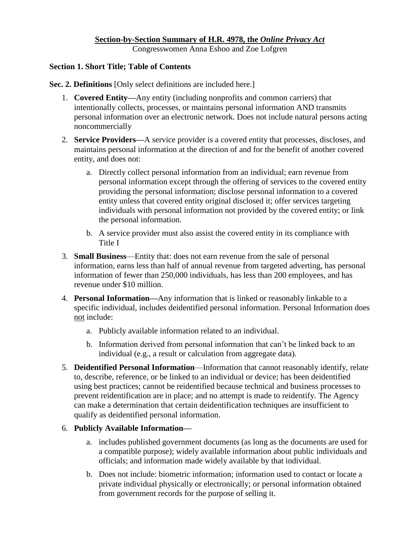#### **Section-by-Section Summary of H.R. 4978, the** *Online Privacy Act*

Congresswomen Anna Eshoo and Zoe Lofgren

#### **Section 1. Short Title; Table of Contents**

**Sec. 2. Definitions** [Only select definitions are included here.]

- 1. **Covered Entity—**Any entity (including nonprofits and common carriers) that intentionally collects, processes, or maintains personal information AND transmits personal information over an electronic network. Does not include natural persons acting noncommercially
- 2. **Service Providers—**A service provider is a covered entity that processes, discloses, and maintains personal information at the direction of and for the benefit of another covered entity, and does not:
	- a. Directly collect personal information from an individual; earn revenue from personal information except through the offering of services to the covered entity providing the personal information; disclose personal information to a covered entity unless that covered entity original disclosed it; offer services targeting individuals with personal information not provided by the covered entity; or link the personal information.
	- b. A service provider must also assist the covered entity in its compliance with Title I
- 3. **Small Business**—Entity that: does not earn revenue from the sale of personal information, earns less than half of annual revenue from targeted adverting, has personal information of fewer than 250,000 individuals, has less than 200 employees, and has revenue under \$10 million.
- 4. **Personal Information—**Any information that is linked or reasonably linkable to a specific individual, includes deidentified personal information. Personal Information does not include:
	- a. Publicly available information related to an individual.
	- b. Information derived from personal information that can't be linked back to an individual (e.g., a result or calculation from aggregate data).
- 5. **Deidentified Personal Information**—Information that cannot reasonably identify, relate to, describe, reference, or be linked to an individual or device; has been deidentified using best practices; cannot be reidentified because technical and business processes to prevent reidentification are in place; and no attempt is made to reidentify. The Agency can make a determination that certain deidentification techniques are insufficient to qualify as deidentified personal information.

## 6. **Publicly Available Information—**

- a. includes published government documents (as long as the documents are used for a compatible purpose); widely available information about public individuals and officials; and information made widely available by that individual.
- b. Does not include: biometric information; information used to contact or locate a private individual physically or electronically; or personal information obtained from government records for the purpose of selling it.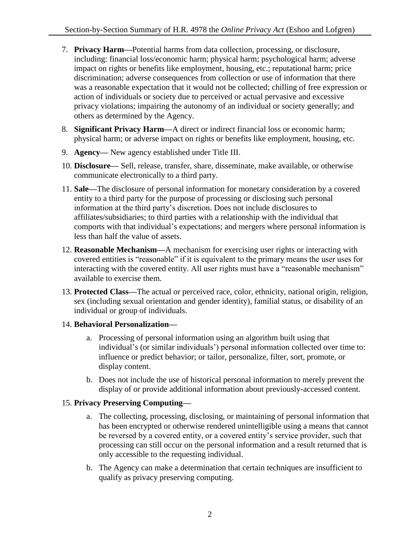- 7. **Privacy Harm—**Potential harms from data collection, processing, or disclosure, including: financial loss/economic harm; physical harm; psychological harm; adverse impact on rights or benefits like employment, housing, etc.; reputational harm; price discrimination; adverse consequences from collection or use of information that there was a reasonable expectation that it would not be collected; chilling of free expression or action of individuals or society due to perceived or actual pervasive and excessive privacy violations; impairing the autonomy of an individual or society generally; and others as determined by the Agency.
- 8. **Significant Privacy Harm—**A direct or indirect financial loss or economic harm; physical harm; or adverse impact on rights or benefits like employment, housing, etc.
- 9. **Agency—** New agency established under Title III.
- 10. **Disclosure—** Sell, release, transfer, share, disseminate, make available, or otherwise communicate electronically to a third party.
- 11. **Sale—**The disclosure of personal information for monetary consideration by a covered entity to a third party for the purpose of processing or disclosing such personal information at the third party's discretion. Does not include disclosures to affiliates/subsidiaries; to third parties with a relationship with the individual that comports with that individual's expectations; and mergers where personal information is less than half the value of assets.
- 12. **Reasonable Mechanism—**A mechanism for exercising user rights or interacting with covered entities is "reasonable" if it is equivalent to the primary means the user uses for interacting with the covered entity. All user rights must have a "reasonable mechanism" available to exercise them.
- 13. **Protected Class—**The actual or perceived race, color, ethnicity, national origin, religion, sex (including sexual orientation and gender identity), familial status, or disability of an individual or group of individuals.

# 14. **Behavioral Personalization—**

- a. Processing of personal information using an algorithm built using that individual's (or similar individuals') personal information collected over time to: influence or predict behavior; or tailor, personalize, filter, sort, promote, or display content.
- b. Does not include the use of historical personal information to merely prevent the display of or provide additional information about previously-accessed content.

# 15. **Privacy Preserving Computing—**

- a. The collecting, processing, disclosing, or maintaining of personal information that has been encrypted or otherwise rendered unintelligible using a means that cannot be reversed by a covered entity, or a covered entity's service provider, such that processing can still occur on the personal information and a result returned that is only accessible to the requesting individual.
- b. The Agency can make a determination that certain techniques are insufficient to qualify as privacy preserving computing.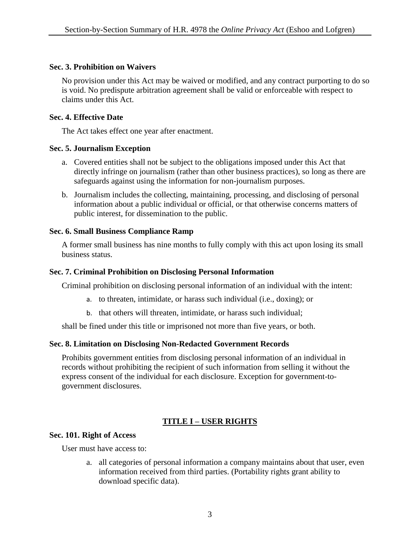#### **Sec. 3. Prohibition on Waivers**

No provision under this Act may be waived or modified, and any contract purporting to do so is void. No predispute arbitration agreement shall be valid or enforceable with respect to claims under this Act.

## **Sec. 4. Effective Date**

The Act takes effect one year after enactment.

## **Sec. 5. Journalism Exception**

- a. Covered entities shall not be subject to the obligations imposed under this Act that directly infringe on journalism (rather than other business practices), so long as there are safeguards against using the information for non-journalism purposes.
- b. Journalism includes the collecting, maintaining, processing, and disclosing of personal information about a public individual or official, or that otherwise concerns matters of public interest, for dissemination to the public.

## **Sec. 6. Small Business Compliance Ramp**

A former small business has nine months to fully comply with this act upon losing its small business status.

#### **Sec. 7. Criminal Prohibition on Disclosing Personal Information**

Criminal prohibition on disclosing personal information of an individual with the intent:

- a. to threaten, intimidate, or harass such individual (i.e., doxing); or
- b. that others will threaten, intimidate, or harass such individual;

shall be fined under this title or imprisoned not more than five years, or both.

## **Sec. 8. Limitation on Disclosing Non-Redacted Government Records**

Prohibits government entities from disclosing personal information of an individual in records without prohibiting the recipient of such information from selling it without the express consent of the individual for each disclosure. Exception for government-togovernment disclosures.

# **TITLE I – USER RIGHTS**

#### **Sec. 101. Right of Access**

User must have access to:

a. all categories of personal information a company maintains about that user, even information received from third parties. (Portability rights grant ability to download specific data).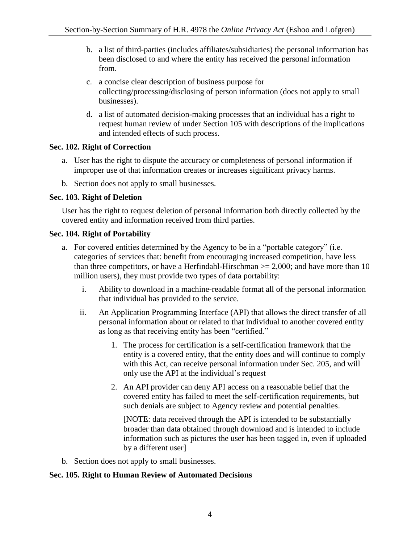- b. a list of third-parties (includes affiliates/subsidiaries) the personal information has been disclosed to and where the entity has received the personal information from.
- c. a concise clear description of business purpose for collecting/processing/disclosing of person information (does not apply to small businesses).
- d. a list of automated decision-making processes that an individual has a right to request human review of under Section 105 with descriptions of the implications and intended effects of such process.

## **Sec. 102. Right of Correction**

- a. User has the right to dispute the accuracy or completeness of personal information if improper use of that information creates or increases significant privacy harms.
- b. Section does not apply to small businesses.

#### **Sec. 103. Right of Deletion**

User has the right to request deletion of personal information both directly collected by the covered entity and information received from third parties.

#### **Sec. 104. Right of Portability**

- a. For covered entities determined by the Agency to be in a "portable category" (i.e. categories of services that: benefit from encouraging increased competition, have less than three competitors, or have a Herfindahl-Hirschman  $\ge$  = 2,000; and have more than 10 million users), they must provide two types of data portability:
	- i. Ability to download in a machine-readable format all of the personal information that individual has provided to the service.
	- ii. An Application Programming Interface (API) that allows the direct transfer of all personal information about or related to that individual to another covered entity as long as that receiving entity has been "certified."
		- 1. The process for certification is a self-certification framework that the entity is a covered entity, that the entity does and will continue to comply with this Act, can receive personal information under Sec. 205, and will only use the API at the individual's request
		- 2. An API provider can deny API access on a reasonable belief that the covered entity has failed to meet the self-certification requirements, but such denials are subject to Agency review and potential penalties.

[NOTE: data received through the API is intended to be substantially broader than data obtained through download and is intended to include information such as pictures the user has been tagged in, even if uploaded by a different user]

b. Section does not apply to small businesses.

## **Sec. 105. Right to Human Review of Automated Decisions**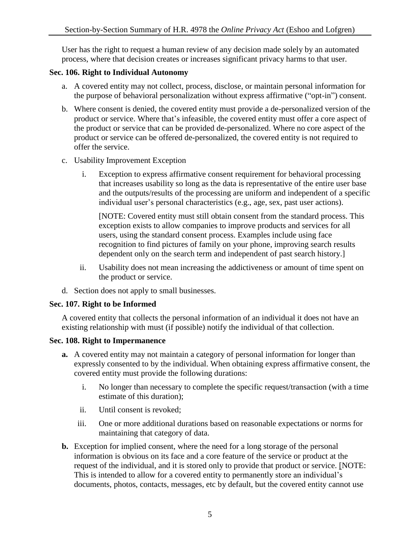User has the right to request a human review of any decision made solely by an automated process, where that decision creates or increases significant privacy harms to that user.

## **Sec. 106. Right to Individual Autonomy**

- a. A covered entity may not collect, process, disclose, or maintain personal information for the purpose of behavioral personalization without express affirmative ("opt-in") consent.
- b. Where consent is denied, the covered entity must provide a de-personalized version of the product or service. Where that's infeasible, the covered entity must offer a core aspect of the product or service that can be provided de-personalized. Where no core aspect of the product or service can be offered de-personalized, the covered entity is not required to offer the service.
- c. Usability Improvement Exception
	- i. Exception to express affirmative consent requirement for behavioral processing that increases usability so long as the data is representative of the entire user base and the outputs/results of the processing are uniform and independent of a specific individual user's personal characteristics (e.g., age, sex, past user actions).

[NOTE: Covered entity must still obtain consent from the standard process. This exception exists to allow companies to improve products and services for all users, using the standard consent process. Examples include using face recognition to find pictures of family on your phone, improving search results dependent only on the search term and independent of past search history.]

- ii. Usability does not mean increasing the addictiveness or amount of time spent on the product or service.
- d. Section does not apply to small businesses.

## **Sec. 107. Right to be Informed**

A covered entity that collects the personal information of an individual it does not have an existing relationship with must (if possible) notify the individual of that collection.

#### **Sec. 108. Right to Impermanence**

- **a.** A covered entity may not maintain a category of personal information for longer than expressly consented to by the individual. When obtaining express affirmative consent, the covered entity must provide the following durations:
	- i. No longer than necessary to complete the specific request/transaction (with a time estimate of this duration);
	- ii. Until consent is revoked;
	- iii. One or more additional durations based on reasonable expectations or norms for maintaining that category of data.
- **b.** Exception for implied consent, where the need for a long storage of the personal information is obvious on its face and a core feature of the service or product at the request of the individual, and it is stored only to provide that product or service. [NOTE: This is intended to allow for a covered entity to permanently store an individual's documents, photos, contacts, messages, etc by default, but the covered entity cannot use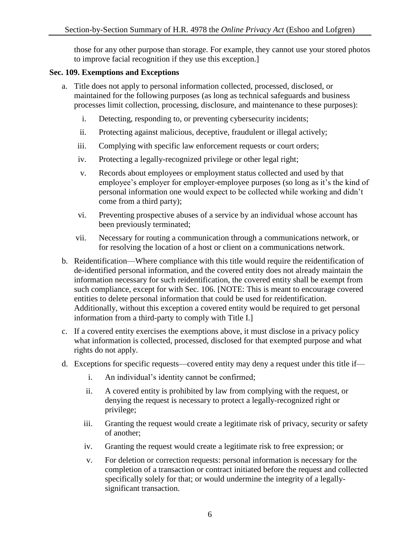those for any other purpose than storage. For example, they cannot use your stored photos to improve facial recognition if they use this exception.]

#### **Sec. 109. Exemptions and Exceptions**

- a. Title does not apply to personal information collected, processed, disclosed, or maintained for the following purposes (as long as technical safeguards and business processes limit collection, processing, disclosure, and maintenance to these purposes):
	- i. Detecting, responding to, or preventing cybersecurity incidents;
	- ii. Protecting against malicious, deceptive, fraudulent or illegal actively;
	- iii. Complying with specific law enforcement requests or court orders;
	- iv. Protecting a legally-recognized privilege or other legal right;
	- v. Records about employees or employment status collected and used by that employee's employer for employer-employee purposes (so long as it's the kind of personal information one would expect to be collected while working and didn't come from a third party);
	- vi. Preventing prospective abuses of a service by an individual whose account has been previously terminated;
	- vii. Necessary for routing a communication through a communications network, or for resolving the location of a host or client on a communications network.
- b. Reidentification—Where compliance with this title would require the reidentification of de-identified personal information, and the covered entity does not already maintain the information necessary for such reidentification, the covered entity shall be exempt from such compliance, except for with Sec. 106. [NOTE: This is meant to encourage covered entities to delete personal information that could be used for reidentification. Additionally, without this exception a covered entity would be required to get personal information from a third-party to comply with Title I.]
- c. If a covered entity exercises the exemptions above, it must disclose in a privacy policy what information is collected, processed, disclosed for that exempted purpose and what rights do not apply.
- d. Exceptions for specific requests—covered entity may deny a request under this title if
	- i. An individual's identity cannot be confirmed;
	- ii. A covered entity is prohibited by law from complying with the request, or denying the request is necessary to protect a legally-recognized right or privilege;
	- iii. Granting the request would create a legitimate risk of privacy, security or safety of another;
	- iv. Granting the request would create a legitimate risk to free expression; or
	- v. For deletion or correction requests: personal information is necessary for the completion of a transaction or contract initiated before the request and collected specifically solely for that; or would undermine the integrity of a legallysignificant transaction.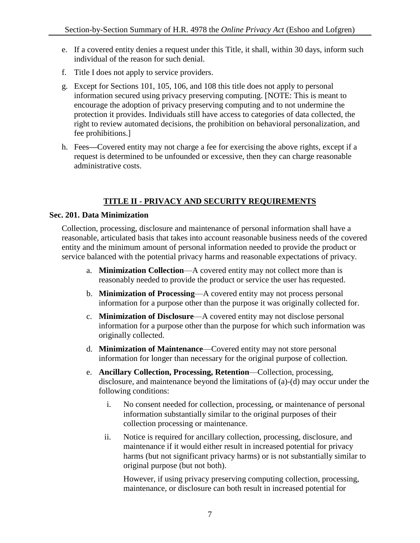- e. If a covered entity denies a request under this Title, it shall, within 30 days, inform such individual of the reason for such denial.
- f. Title I does not apply to service providers.
- g. Except for Sections 101, 105, 106, and 108 this title does not apply to personal information secured using privacy preserving computing. [NOTE: This is meant to encourage the adoption of privacy preserving computing and to not undermine the protection it provides. Individuals still have access to categories of data collected, the right to review automated decisions, the prohibition on behavioral personalization, and fee prohibitions.]
- h. Fees**—**Covered entity may not charge a fee for exercising the above rights, except if a request is determined to be unfounded or excessive, then they can charge reasonable administrative costs.

# **TITLE II - PRIVACY AND SECURITY REQUIREMENTS**

## **Sec. 201. Data Minimization**

Collection, processing, disclosure and maintenance of personal information shall have a reasonable, articulated basis that takes into account reasonable business needs of the covered entity and the minimum amount of personal information needed to provide the product or service balanced with the potential privacy harms and reasonable expectations of privacy.

- a. **Minimization Collection**—A covered entity may not collect more than is reasonably needed to provide the product or service the user has requested.
- b. **Minimization of Processing**—A covered entity may not process personal information for a purpose other than the purpose it was originally collected for.
- c. **Minimization of Disclosure**—A covered entity may not disclose personal information for a purpose other than the purpose for which such information was originally collected.
- d. **Minimization of Maintenance**—Covered entity may not store personal information for longer than necessary for the original purpose of collection.
- e. **Ancillary Collection, Processing, Retention**—Collection, processing, disclosure, and maintenance beyond the limitations of (a)-(d) may occur under the following conditions:
	- i. No consent needed for collection, processing, or maintenance of personal information substantially similar to the original purposes of their collection processing or maintenance.
	- ii. Notice is required for ancillary collection, processing, disclosure, and maintenance if it would either result in increased potential for privacy harms (but not significant privacy harms) or is not substantially similar to original purpose (but not both).

However, if using privacy preserving computing collection, processing, maintenance, or disclosure can both result in increased potential for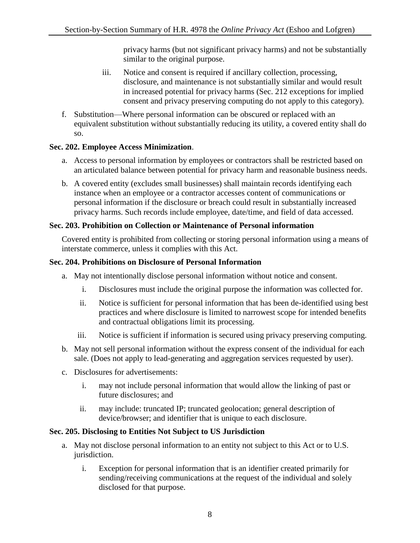privacy harms (but not significant privacy harms) and not be substantially similar to the original purpose.

- iii. Notice and consent is required if ancillary collection, processing, disclosure, and maintenance is not substantially similar and would result in increased potential for privacy harms (Sec. 212 exceptions for implied consent and privacy preserving computing do not apply to this category).
- f. Substitution—Where personal information can be obscured or replaced with an equivalent substitution without substantially reducing its utility, a covered entity shall do so.

## **Sec. 202. Employee Access Minimization**.

- a. Access to personal information by employees or contractors shall be restricted based on an articulated balance between potential for privacy harm and reasonable business needs.
- b. A covered entity (excludes small businesses) shall maintain records identifying each instance when an employee or a contractor accesses content of communications or personal information if the disclosure or breach could result in substantially increased privacy harms. Such records include employee, date/time, and field of data accessed.

## **Sec. 203. Prohibition on Collection or Maintenance of Personal information**

Covered entity is prohibited from collecting or storing personal information using a means of interstate commerce, unless it complies with this Act.

## **Sec. 204. Prohibitions on Disclosure of Personal Information**

- a. May not intentionally disclose personal information without notice and consent.
	- i. Disclosures must include the original purpose the information was collected for.
	- ii. Notice is sufficient for personal information that has been de-identified using best practices and where disclosure is limited to narrowest scope for intended benefits and contractual obligations limit its processing.
	- iii. Notice is sufficient if information is secured using privacy preserving computing.
- b. May not sell personal information without the express consent of the individual for each sale. (Does not apply to lead-generating and aggregation services requested by user).
- c. Disclosures for advertisements:
	- i. may not include personal information that would allow the linking of past or future disclosures; and
	- ii. may include: truncated IP; truncated geolocation; general description of device/browser; and identifier that is unique to each disclosure.

# **Sec. 205. Disclosing to Entities Not Subject to US Jurisdiction**

- a. May not disclose personal information to an entity not subject to this Act or to U.S. jurisdiction.
	- i. Exception for personal information that is an identifier created primarily for sending/receiving communications at the request of the individual and solely disclosed for that purpose.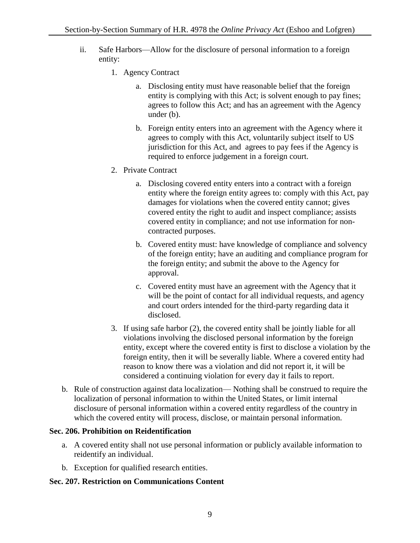- ii. Safe Harbors—Allow for the disclosure of personal information to a foreign entity:
	- 1. Agency Contract
		- a. Disclosing entity must have reasonable belief that the foreign entity is complying with this Act; is solvent enough to pay fines; agrees to follow this Act; and has an agreement with the Agency under (b).
		- b. Foreign entity enters into an agreement with the Agency where it agrees to comply with this Act, voluntarily subject itself to US jurisdiction for this Act, and agrees to pay fees if the Agency is required to enforce judgement in a foreign court.
	- 2. Private Contract
		- a. Disclosing covered entity enters into a contract with a foreign entity where the foreign entity agrees to: comply with this Act, pay damages for violations when the covered entity cannot; gives covered entity the right to audit and inspect compliance; assists covered entity in compliance; and not use information for noncontracted purposes.
		- b. Covered entity must: have knowledge of compliance and solvency of the foreign entity; have an auditing and compliance program for the foreign entity; and submit the above to the Agency for approval.
		- c. Covered entity must have an agreement with the Agency that it will be the point of contact for all individual requests, and agency and court orders intended for the third-party regarding data it disclosed.
	- 3. If using safe harbor (2), the covered entity shall be jointly liable for all violations involving the disclosed personal information by the foreign entity, except where the covered entity is first to disclose a violation by the foreign entity, then it will be severally liable. Where a covered entity had reason to know there was a violation and did not report it, it will be considered a continuing violation for every day it fails to report.
- b. Rule of construction against data localization— Nothing shall be construed to require the localization of personal information to within the United States, or limit internal disclosure of personal information within a covered entity regardless of the country in which the covered entity will process, disclose, or maintain personal information.

## **Sec. 206. Prohibition on Reidentification**

- a. A covered entity shall not use personal information or publicly available information to reidentify an individual.
- b. Exception for qualified research entities.

## **Sec. 207. Restriction on Communications Content**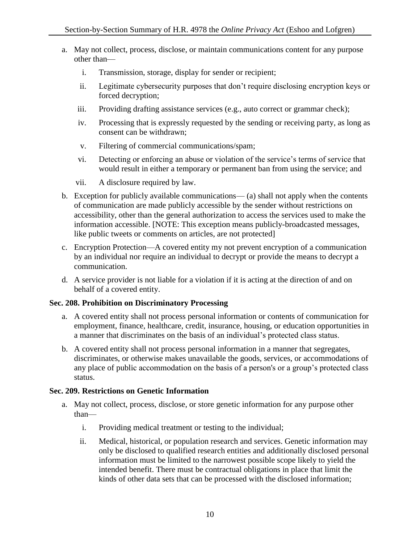- a. May not collect, process, disclose, or maintain communications content for any purpose other than
	- i. Transmission, storage, display for sender or recipient;
	- ii. Legitimate cybersecurity purposes that don't require disclosing encryption keys or forced decryption;
	- iii. Providing drafting assistance services (e.g., auto correct or grammar check);
	- iv. Processing that is expressly requested by the sending or receiving party, as long as consent can be withdrawn;
	- v. Filtering of commercial communications/spam;
	- vi. Detecting or enforcing an abuse or violation of the service's terms of service that would result in either a temporary or permanent ban from using the service; and
	- vii. A disclosure required by law.
- b. Exception for publicly available communications— (a) shall not apply when the contents of communication are made publicly accessible by the sender without restrictions on accessibility, other than the general authorization to access the services used to make the information accessible. [NOTE: This exception means publicly-broadcasted messages, like public tweets or comments on articles, are not protected]
- c. Encryption Protection—A covered entity my not prevent encryption of a communication by an individual nor require an individual to decrypt or provide the means to decrypt a communication.
- d. A service provider is not liable for a violation if it is acting at the direction of and on behalf of a covered entity.

# **Sec. 208. Prohibition on Discriminatory Processing**

- a. A covered entity shall not process personal information or contents of communication for employment, finance, healthcare, credit, insurance, housing, or education opportunities in a manner that discriminates on the basis of an individual's protected class status.
- b. A covered entity shall not process personal information in a manner that segregates, discriminates, or otherwise makes unavailable the goods, services, or accommodations of any place of public accommodation on the basis of a person's or a group's protected class status.

## **Sec. 209. Restrictions on Genetic Information**

- a. May not collect, process, disclose, or store genetic information for any purpose other than
	- i. Providing medical treatment or testing to the individual;
	- ii. Medical, historical, or population research and services. Genetic information may only be disclosed to qualified research entities and additionally disclosed personal information must be limited to the narrowest possible scope likely to yield the intended benefit. There must be contractual obligations in place that limit the kinds of other data sets that can be processed with the disclosed information;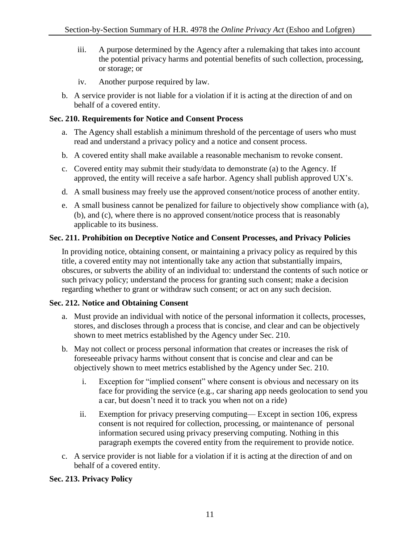- iii. A purpose determined by the Agency after a rulemaking that takes into account the potential privacy harms and potential benefits of such collection, processing, or storage; or
- iv. Another purpose required by law.
- b. A service provider is not liable for a violation if it is acting at the direction of and on behalf of a covered entity.

## **Sec. 210. Requirements for Notice and Consent Process**

- a. The Agency shall establish a minimum threshold of the percentage of users who must read and understand a privacy policy and a notice and consent process.
- b. A covered entity shall make available a reasonable mechanism to revoke consent.
- c. Covered entity may submit their study/data to demonstrate (a) to the Agency. If approved, the entity will receive a safe harbor. Agency shall publish approved UX's.
- d. A small business may freely use the approved consent/notice process of another entity.
- e. A small business cannot be penalized for failure to objectively show compliance with (a), (b), and (c), where there is no approved consent/notice process that is reasonably applicable to its business.

## **Sec. 211. Prohibition on Deceptive Notice and Consent Processes, and Privacy Policies**

In providing notice, obtaining consent, or maintaining a privacy policy as required by this title, a covered entity may not intentionally take any action that substantially impairs, obscures, or subverts the ability of an individual to: understand the contents of such notice or such privacy policy; understand the process for granting such consent; make a decision regarding whether to grant or withdraw such consent; or act on any such decision.

## **Sec. 212. Notice and Obtaining Consent**

- a. Must provide an individual with notice of the personal information it collects, processes, stores, and discloses through a process that is concise, and clear and can be objectively shown to meet metrics established by the Agency under Sec. 210.
- b. May not collect or process personal information that creates or increases the risk of foreseeable privacy harms without consent that is concise and clear and can be objectively shown to meet metrics established by the Agency under Sec. 210.
	- i. Exception for "implied consent" where consent is obvious and necessary on its face for providing the service (e.g., car sharing app needs geolocation to send you a car, but doesn't need it to track you when not on a ride)
	- ii. Exemption for privacy preserving computing— Except in section 106, express consent is not required for collection, processing, or maintenance of personal information secured using privacy preserving computing. Nothing in this paragraph exempts the covered entity from the requirement to provide notice.
- c. A service provider is not liable for a violation if it is acting at the direction of and on behalf of a covered entity.

# **Sec. 213. Privacy Policy**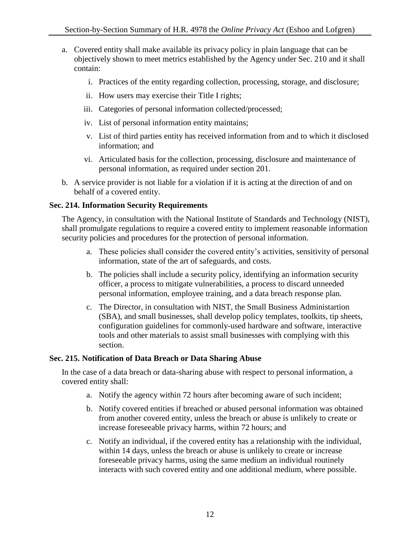- a. Covered entity shall make available its privacy policy in plain language that can be objectively shown to meet metrics established by the Agency under Sec. 210 and it shall contain:
	- i. Practices of the entity regarding collection, processing, storage, and disclosure;
	- ii. How users may exercise their Title I rights;
	- iii. Categories of personal information collected/processed;
	- iv. List of personal information entity maintains;
	- v. List of third parties entity has received information from and to which it disclosed information; and
	- vi. Articulated basis for the collection, processing, disclosure and maintenance of personal information, as required under section 201.
- b. A service provider is not liable for a violation if it is acting at the direction of and on behalf of a covered entity.

## **Sec. 214. Information Security Requirements**

The Agency, in consultation with the National Institute of Standards and Technology (NIST), shall promulgate regulations to require a covered entity to implement reasonable information security policies and procedures for the protection of personal information.

- a. These policies shall consider the covered entity's activities, sensitivity of personal information, state of the art of safeguards, and costs.
- b. The policies shall include a security policy, identifying an information security officer, a process to mitigate vulnerabilities, a process to discard unneeded personal information, employee training, and a data breach response plan.
- c. The Director, in consultation with NIST, the Small Business Administartion (SBA), and small businesses, shall develop policy templates, toolkits, tip sheets, configuration guidelines for commonly-used hardware and software, interactive tools and other materials to assist small businesses with complying with this section.

## **Sec. 215. Notification of Data Breach or Data Sharing Abuse**

In the case of a data breach or data-sharing abuse with respect to personal information, a covered entity shall:

- a. Notify the agency within 72 hours after becoming aware of such incident;
- b. Notify covered entities if breached or abused personal information was obtained from another covered entity, unless the breach or abuse is unlikely to create or increase foreseeable privacy harms, within 72 hours; and
- c. Notify an individual, if the covered entity has a relationship with the individual, within 14 days, unless the breach or abuse is unlikely to create or increase foreseeable privacy harms, using the same medium an individual routinely interacts with such covered entity and one additional medium, where possible.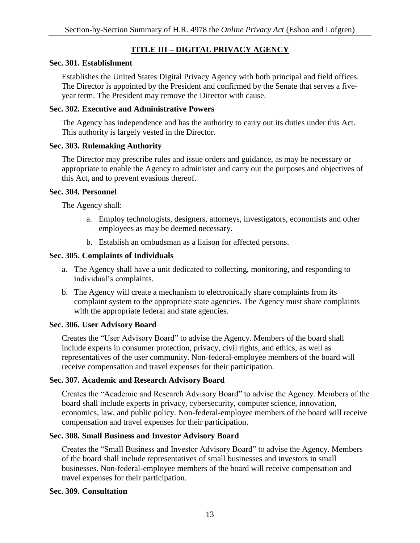# **TITLE III – DIGITAL PRIVACY AGENCY**

#### **Sec. 301. Establishment**

Establishes the United States Digital Privacy Agency with both principal and field offices. The Director is appointed by the President and confirmed by the Senate that serves a fiveyear term. The President may remove the Director with cause.

#### **Sec. 302. Executive and Administrative Powers**

The Agency has independence and has the authority to carry out its duties under this Act. This authority is largely vested in the Director.

#### **Sec. 303. Rulemaking Authority**

The Director may prescribe rules and issue orders and guidance, as may be necessary or appropriate to enable the Agency to administer and carry out the purposes and objectives of this Act, and to prevent evasions thereof.

#### **Sec. 304. Personnel**

The Agency shall:

- a. Employ technologists, designers, attorneys, investigators, economists and other employees as may be deemed necessary.
- b. Establish an ombudsman as a liaison for affected persons.

## **Sec. 305. Complaints of Individuals**

- a. The Agency shall have a unit dedicated to collecting, monitoring, and responding to individual's complaints.
- b. The Agency will create a mechanism to electronically share complaints from its complaint system to the appropriate state agencies. The Agency must share complaints with the appropriate federal and state agencies.

## **Sec. 306. User Advisory Board**

Creates the "User Advisory Board" to advise the Agency. Members of the board shall include experts in consumer protection, privacy, civil rights, and ethics, as well as representatives of the user community. Non-federal-employee members of the board will receive compensation and travel expenses for their participation.

## **Sec. 307. Academic and Research Advisory Board**

Creates the "Academic and Research Advisory Board" to advise the Agency. Members of the board shall include experts in privacy, cybersecurity, computer science, innovation, economics, law, and public policy. Non-federal-employee members of the board will receive compensation and travel expenses for their participation.

## **Sec. 308. Small Business and Investor Advisory Board**

Creates the "Small Business and Investor Advisory Board" to advise the Agency. Members of the board shall include representatives of small businesses and investors in small businesses. Non-federal-employee members of the board will receive compensation and travel expenses for their participation.

## **Sec. 309. Consultation**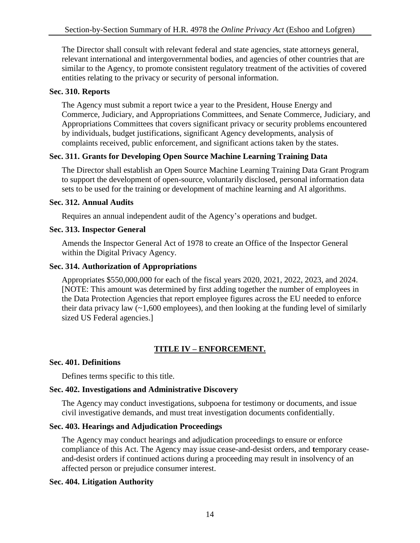The Director shall consult with relevant federal and state agencies, state attorneys general, relevant international and intergovernmental bodies, and agencies of other countries that are similar to the Agency, to promote consistent regulatory treatment of the activities of covered entities relating to the privacy or security of personal information.

## **Sec. 310. Reports**

The Agency must submit a report twice a year to the President, House Energy and Commerce, Judiciary, and Appropriations Committees, and Senate Commerce, Judiciary, and Appropriations Committees that covers significant privacy or security problems encountered by individuals, budget justifications, significant Agency developments, analysis of complaints received, public enforcement, and significant actions taken by the states.

## **Sec. 311. Grants for Developing Open Source Machine Learning Training Data**

The Director shall establish an Open Source Machine Learning Training Data Grant Program to support the development of open-source, voluntarily disclosed, personal information data sets to be used for the training or development of machine learning and AI algorithms.

## **Sec. 312. Annual Audits**

Requires an annual independent audit of the Agency's operations and budget.

## **Sec. 313. Inspector General**

Amends the Inspector General Act of 1978 to create an Office of the Inspector General within the Digital Privacy Agency.

## **Sec. 314. Authorization of Appropriations**

Appropriates \$550,000,000 for each of the fiscal years 2020, 2021, 2022, 2023, and 2024. [NOTE: This amount was determined by first adding together the number of employees in the Data Protection Agencies that report employee figures across the EU needed to enforce their data privacy law  $(\sim 1,600$  employees), and then looking at the funding level of similarly sized US Federal agencies.]

# **TITLE IV – ENFORCEMENT.**

## **Sec. 401. Definitions**

Defines terms specific to this title.

# **Sec. 402. Investigations and Administrative Discovery**

The Agency may conduct investigations, subpoena for testimony or documents, and issue civil investigative demands, and must treat investigation documents confidentially.

# **Sec. 403. Hearings and Adjudication Proceedings**

The Agency may conduct hearings and adjudication proceedings to ensure or enforce compliance of this Act. The Agency may issue cease-and-desist orders, and **t**emporary ceaseand-desist orders if continued actions during a proceeding may result in insolvency of an affected person or prejudice consumer interest.

# **Sec. 404. Litigation Authority**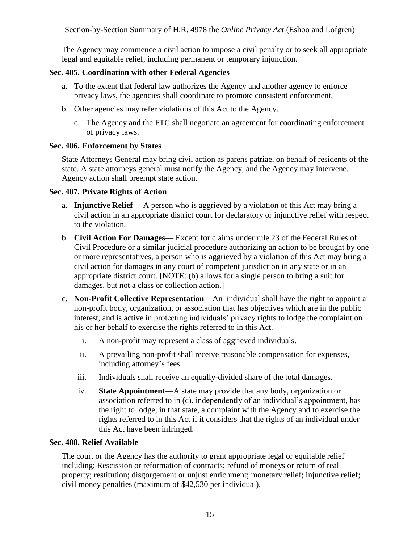The Agency may commence a civil action to impose a civil penalty or to seek all appropriate legal and equitable relief, including permanent or temporary injunction.

## **Sec. 405. Coordination with other Federal Agencies**

- a. To the extent that federal law authorizes the Agency and another agency to enforce privacy laws, the agencies shall coordinate to promote consistent enforcement.
- b. Other agencies may refer violations of this Act to the Agency.
	- c. The Agency and the FTC shall negotiate an agreement for coordinating enforcement of privacy laws.

## **Sec. 406. Enforcement by States**

State Attorneys General may bring civil action as parens patriae, on behalf of residents of the state. A state attorneys general must notify the Agency, and the Agency may intervene. Agency action shall preempt state action.

#### **Sec. 407. Private Rights of Action**

- a. **Injunctive Relief** A person who is aggrieved by a violation of this Act may bring a civil action in an appropriate district court for declaratory or injunctive relief with respect to the violation.
- b. **Civil Action For Damages** Except for claims under rule 23 of the Federal Rules of Civil Procedure or a similar judicial procedure authorizing an action to be brought by one or more representatives, a person who is aggrieved by a violation of this Act may bring a civil action for damages in any court of competent jurisdiction in any state or in an appropriate district court. [NOTE: (b) allows for a single person to bring a suit for damages, but not a class or collection action.]
- c. **Non-Profit Collective Representation**—An individual shall have the right to appoint a non-profit body, organization, or association that has objectives which are in the public interest, and is active in protecting individuals' privacy rights to lodge the complaint on his or her behalf to exercise the rights referred to in this Act.
	- i. A non-profit may represent a class of aggrieved individuals.
	- ii. A prevailing non-profit shall receive reasonable compensation for expenses, including attorney's fees.
	- iii. Individuals shall receive an equally-divided share of the total damages.
	- iv. **State Appointment**—A state may provide that any body, organization or association referred to in (c), independently of an individual's appointment, has the right to lodge, in that state, a complaint with the Agency and to exercise the rights referred to in this Act if it considers that the rights of an individual under this Act have been infringed.

## **Sec. 408. Relief Available**

The court or the Agency has the authority to grant appropriate legal or equitable relief including: Rescission or reformation of contracts; refund of moneys or return of real property; restitution; disgorgement or unjust enrichment; monetary relief; injunctive relief; civil money penalties (maximum of \$42,530 per individual).